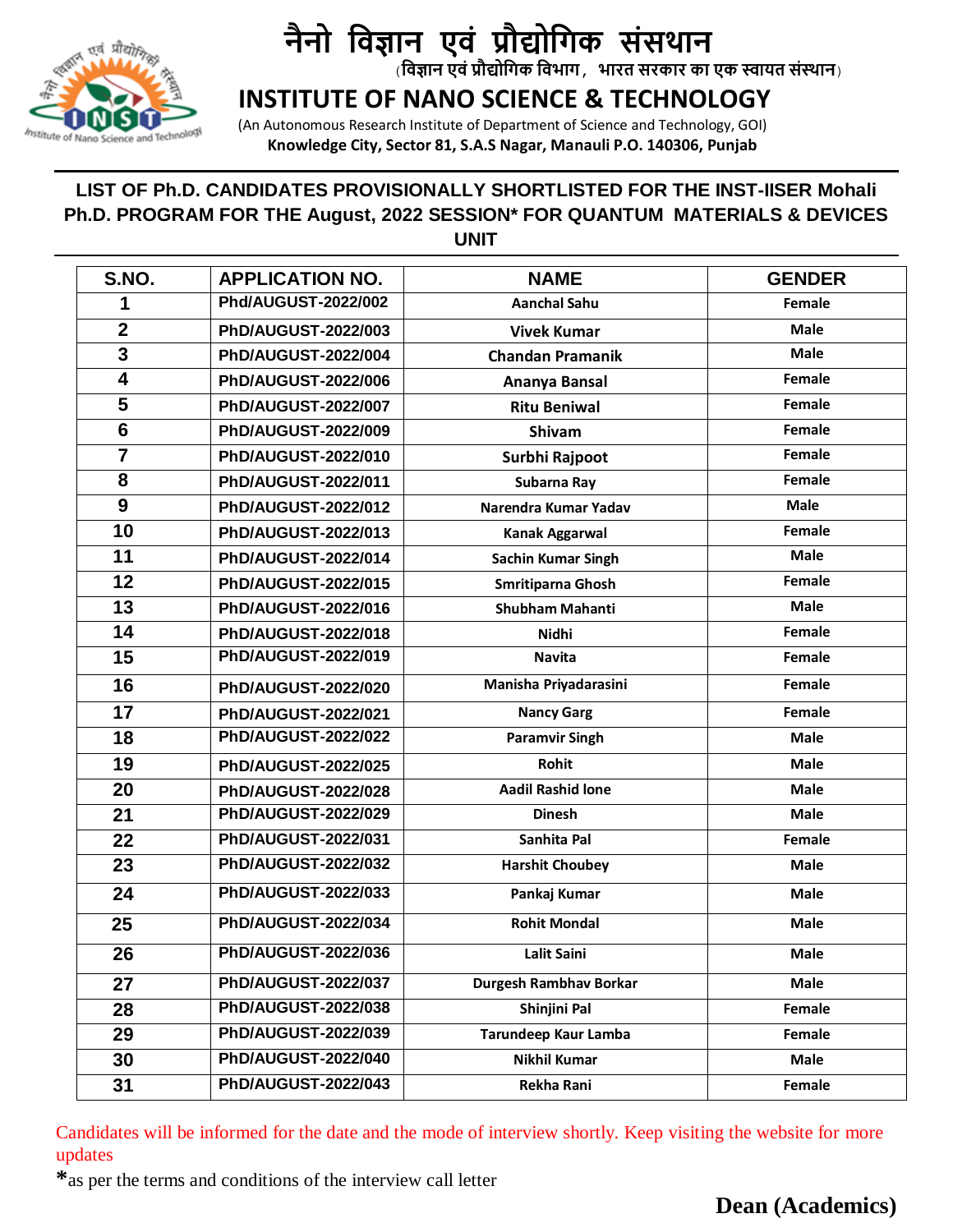

# **नैनो विज्ञान एिं प्रौद्योविक संसथान**

(**विज्ञान एिंप्रौद्योविक विभाि, भारत सरकार का एक स्वायत संस्थान**)

### **INSTITUTE OF NANO SCIENCE & TECHNOLOGY**

 (An Autonomous Research Institute of Department of Science and Technology, GOI)  **Knowledge City, Sector 81, S.A.S Nagar, Manauli P.O. 140306, Punjab** 

#### **LIST OF Ph.D. CANDIDATES PROVISIONALLY SHORTLISTED FOR THE INST-IISER Mohali Ph.D. PROGRAM FOR THE August, 2022 SESSION\* FOR QUANTUM MATERIALS & DEVICES UNIT**

| S.NO.           | <b>APPLICATION NO.</b>     | <b>NAME</b>                   | <b>GENDER</b> |
|-----------------|----------------------------|-------------------------------|---------------|
| 1               | Phd/AUGUST-2022/002        | <b>Aanchal Sahu</b>           | Female        |
| $\mathbf{2}$    | PhD/AUGUST-2022/003        | <b>Vivek Kumar</b>            | <b>Male</b>   |
| 3               | PhD/AUGUST-2022/004        | <b>Chandan Pramanik</b>       | <b>Male</b>   |
| 4               | PhD/AUGUST-2022/006        | Ananya Bansal                 | Female        |
| 5               | <b>PhD/AUGUST-2022/007</b> | <b>Ritu Beniwal</b>           | Female        |
| $6\phantom{1}6$ | PhD/AUGUST-2022/009        | Shivam                        | Female        |
| $\overline{7}$  | PhD/AUGUST-2022/010        | Surbhi Rajpoot                | Female        |
| 8               | PhD/AUGUST-2022/011        | Subarna Ray                   | Female        |
| 9               | <b>PhD/AUGUST-2022/012</b> | Narendra Kumar Yadav          | <b>Male</b>   |
| 10              | PhD/AUGUST-2022/013        | Kanak Aggarwal                | Female        |
| 11              | PhD/AUGUST-2022/014        | <b>Sachin Kumar Singh</b>     | <b>Male</b>   |
| 12              | PhD/AUGUST-2022/015        | Smritiparna Ghosh             | Female        |
| 13              | PhD/AUGUST-2022/016        | <b>Shubham Mahanti</b>        | <b>Male</b>   |
| 14              | PhD/AUGUST-2022/018        | <b>Nidhi</b>                  | Female        |
| 15              | PhD/AUGUST-2022/019        | <b>Navita</b>                 | Female        |
| 16              | PhD/AUGUST-2022/020        | Manisha Priyadarasini         | Female        |
| 17              | PhD/AUGUST-2022/021        | <b>Nancy Garg</b>             | Female        |
| 18              | <b>PhD/AUGUST-2022/022</b> | <b>Paramvir Singh</b>         | Male          |
| 19              | PhD/AUGUST-2022/025        | Rohit                         | <b>Male</b>   |
| 20              | PhD/AUGUST-2022/028        | <b>Aadil Rashid lone</b>      | <b>Male</b>   |
| 21              | PhD/AUGUST-2022/029        | <b>Dinesh</b>                 | <b>Male</b>   |
| 22              | PhD/AUGUST-2022/031        | Sanhita Pal                   | Female        |
| 23              | <b>PhD/AUGUST-2022/032</b> | <b>Harshit Choubey</b>        | <b>Male</b>   |
| 24              | PhD/AUGUST-2022/033        | Pankaj Kumar                  | <b>Male</b>   |
| 25              | PhD/AUGUST-2022/034        | <b>Rohit Mondal</b>           | <b>Male</b>   |
| 26              | PhD/AUGUST-2022/036        | <b>Lalit Saini</b>            | <b>Male</b>   |
| 27              | PhD/AUGUST-2022/037        | <b>Durgesh Rambhav Borkar</b> | <b>Male</b>   |
| 28              | <b>PhD/AUGUST-2022/038</b> | Shinjini Pal                  | Female        |
| 29              | PhD/AUGUST-2022/039        | Tarundeep Kaur Lamba          | Female        |
| 30              | <b>PhD/AUGUST-2022/040</b> | <b>Nikhil Kumar</b>           | Male          |
| 31              | <b>PhD/AUGUST-2022/043</b> | Rekha Rani                    | Female        |

Candidates will be informed for the date and the mode of interview shortly. Keep visiting the website for more updates

**\***as per the terms and conditions of the interview call letter

## **Dean (Academics)**